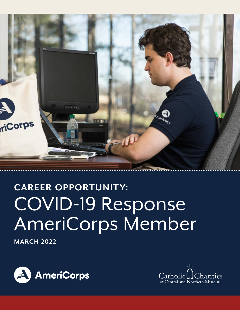

# **CAREER OPPORTUNITY:** COVID-19 Response AmeriCorps Member

**MARCH 2022**



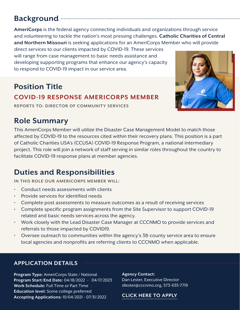### **Background**

**AmeriCorps** is the federal agency connecting individuals and organizations through service and volunteering to tackle the nation's most pressing challenges. **Catholic Charities of Central and Northern Missouri** is seeking applications for an AmeriCorps Member who will provide

direct services to our clients impacted by COVID-19. These services will range from case management to basic needs assistance and developing supporting programs that enhance our agency's capacity to respond to COVID-19 impact in our service area.

## **Position Title COVID-19 RESPONSE AMERICORPS MEMBER**

**REPORTS TO: DIRECTOR OF COMMUNITY SERVICES**

### **Role Summary**

This AmeriCorps Member will utilize the Disaster Case Management Model to match those affected by COVID-19 to the resources cited within their recovery plans. This position is a part of Catholic Charities USA's (CCUSA) COVID-19 Response Program, a national intermediary project. This role will join a network of staff serving in similar roles throughout the country to facilitate COVID-19 response plans at member agencies.

### **Duties and Responsibilities**

**IN THIS ROLE OUR AMERICORPS MEMBER WILL:**

- Conduct needs assessments with clients
- Provide services for identified needs
- Complete post assessments to measure outcomes as a result of receiving services
- Complete specific program assignments from the Site Supervisor to support COVID-19 related and basic needs services across the agency.
- Work closely with the Lead Disaster Case Manager at CCCNMO to provide services and referrals to those impacted by COVID19.
- Oversee outreach to communities within the agency's 38-county service area to ensure local agencies and nonprofits are referring clients to CCCNMO when applicable.

### **APPLICATION DETAILS**

**Program Type:** AmeriCorps State / National **Program Start/End Date:** 04/18/2022 - 04/17/2023 **Work Schedule:** Full Time or Part Time **Education level:** Some college preferred **Accepting Applications:** 10/04/2021 - 07/31/2022

#### **Agency Contact:**

Dan Lester, Executive Director dlester@cccnmo.org, 573-635-7719

#### **[CLICK HERE TO APPLY](https://my.americorps.gov/mp/listing/viewListing.do?fromSearch=true&id=107420)**